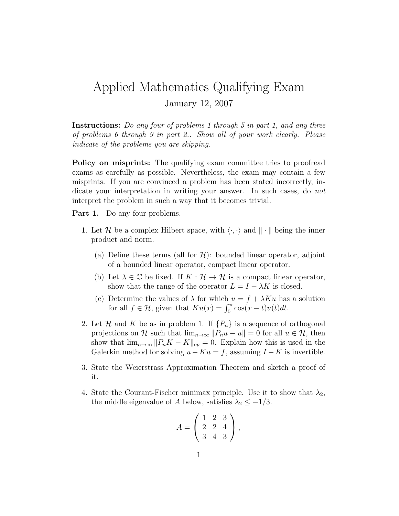## Applied Mathematics Qualifying Exam January 12, 2007

Instructions: Do any four of problems 1 through 5 in part 1, and any three of problems 6 through 9 in part 2.. Show all of your work clearly. Please indicate of the problems you are skipping.

Policy on misprints: The qualifying exam committee tries to proofread exams as carefully as possible. Nevertheless, the exam may contain a few misprints. If you are convinced a problem has been stated incorrectly, indicate your interpretation in writing your answer. In such cases, do not interpret the problem in such a way that it becomes trivial.

Part 1. Do any four problems.

- 1. Let H be a complex Hilbert space, with  $\langle \cdot, \cdot \rangle$  and  $\|\cdot\|$  being the inner product and norm.
	- (a) Define these terms (all for  $\mathcal{H}$ ): bounded linear operator, adjoint of a bounded linear operator, compact linear operator.
	- (b) Let  $\lambda \in \mathbb{C}$  be fixed. If  $K : \mathcal{H} \to \mathcal{H}$  is a compact linear operator, show that the range of the operator  $L = I - \lambda K$  is closed.
	- (c) Determine the values of  $\lambda$  for which  $u = f + \lambda K u$  has a solution for all  $f \in \mathcal{H}$ , given that  $K u(x) = \int_0^{\pi} \cos(x - t) u(t) dt$ .
- 2. Let H and K be as in problem 1. If  $\{P_n\}$  is a sequence of orthogonal projections on H such that  $\lim_{n\to\infty}||P_nu - u|| = 0$  for all  $u \in \mathcal{H}$ , then show that  $\lim_{n\to\infty}||P_nK - K||_{op} = 0$ . Explain how this is used in the Galerkin method for solving  $u - Ku = f$ , assuming  $I - K$  is invertible.
- 3. State the Weierstrass Approximation Theorem and sketch a proof of it.
- 4. State the Courant-Fischer minimax principle. Use it to show that  $\lambda_2$ , the middle eigenvalue of A below, satisfies  $\lambda_2 \leq -1/3$ .

$$
A = \left(\begin{array}{rrr} 1 & 2 & 3 \\ 2 & 2 & 4 \\ 3 & 4 & 3 \end{array}\right),
$$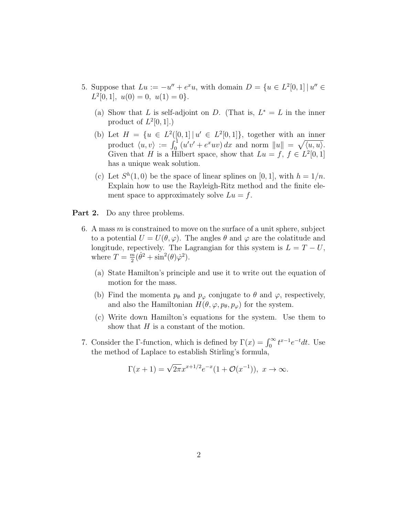- 5. Suppose that  $Lu := -u'' + e^x u$ , with domain  $D = \{u \in L^2[0,1] \mid u'' \in$  $L^2[0,1], u(0) = 0, u(1) = 0$ .
	- (a) Show that L is self-adjoint on D. (That is,  $L^* = L$  in the inner product of  $L^2[0,1]$ .)
	- (b) Let  $H = \{u \in L^2([0,1] | u' \in L^2[0,1]\},$  together with an inner product  $\langle u, v \rangle := \int_0^1 (u'v' + e^x uv) dx$  and norm  $||u|| = \sqrt{\langle u, u \rangle}$ . Given that H is a Hilbert space, show that  $Lu = f, f \in L^2[0,1]$ has a unique weak solution.
	- (c) Let  $S<sup>h</sup>(1,0)$  be the space of linear splines on [0, 1], with  $h = 1/n$ . Explain how to use the Rayleigh-Ritz method and the finite element space to approximately solve  $Lu = f$ .
- **Part 2.** Do any three problems.
	- 6. A mass  $m$  is constrained to move on the surface of a unit sphere, subject to a potential  $U = U(\theta, \varphi)$ . The angles  $\theta$  and  $\varphi$  are the colatitude and longitude, repectively. The Lagrangian for this system is  $L = T - U$ , where  $T = \frac{m}{2}$  $\frac{m}{2}(\dot{\theta}^2 + \sin^2(\theta)\dot{\varphi}^2).$ 
		- (a) State Hamilton's principle and use it to write out the equation of motion for the mass.
		- (b) Find the momenta  $p_{\theta}$  and  $p_{\varphi}$  conjugate to  $\theta$  and  $\varphi$ , respectively, and also the Hamiltonian  $H(\theta, \varphi, p_{\theta}, p_{\varphi})$  for the system.
		- (c) Write down Hamilton's equations for the system. Use them to show that  $H$  is a constant of the motion.
	- 7. Consider the Γ-function, which is defined by  $\Gamma(x) = \int_0^\infty t^{x-1} e^{-t} dt$ . Use the method of Laplace to establish Stirling's formula,

$$
\Gamma(x+1) = \sqrt{2\pi} x^{x+1/2} e^{-x} (1 + \mathcal{O}(x^{-1})), \ x \to \infty.
$$